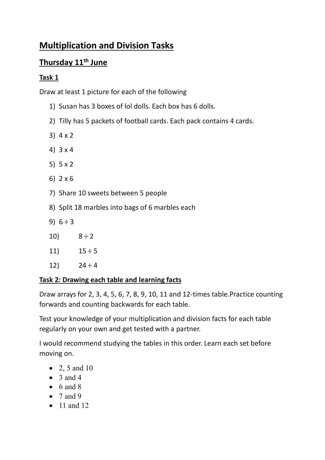# **Multiplication and Division Tasks**

## **Thursday 11th June**

## **Task 1**

Draw at least 1 picture for each of the following

- 1) Susan has 3 boxes of lol dolls. Each box has 6 dolls.
- 2) Tilly has 5 packets of football cards. Each pack contains 4 cards.
- 3) 4 x 2
- 4) 3 x 4
- 5) 5 x 2
- 6) 2 x 6
- 7) Share 10 sweets between 5 people
- 8) Split 18 marbles into bags of 6 marbles each
- 9)  $6 \div 3$
- 10)  $8 \div 2$
- 11)  $15 \div 5$
- 12)  $24 \div 4$

## **Task 2: Drawing each table and learning facts**

Draw arrays for 2, 3, 4, 5, 6, 7, 8, 9, 10, 11 and 12-times table.Practice counting forwards and counting backwards for each table.

Test your knowledge of your multiplication and division facts for each table regularly on your own and get tested with a partner.

I would recommend studying the tables in this order. Learn each set before moving on.

- 2, 5 and 10
- $\bullet$  3 and 4
- $\bullet$  6 and 8
- $\bullet$  7 and 9
- 11 and 12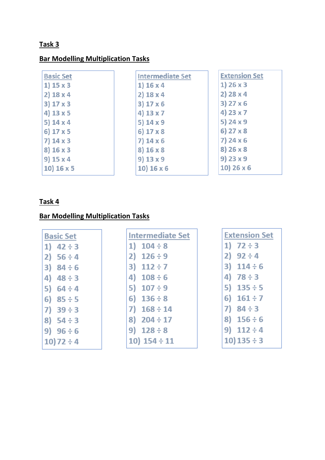### **Task 3**

## **Bar Modelling Multiplication Tasks**

| <b>Basic Set</b> | <b>Intermediate Set</b> | <b>Extension Set</b> |
|------------------|-------------------------|----------------------|
| 1) $15 \times 3$ | 1) 16 x 4               | $1)$ 26 x 3          |
| $2)$ 18 x 4      | $2)$ 18 x 4             | $2)$ 28 x 4          |
| $3)$ 17 x 3      | 3) 17 x 6               | $3)$ 27 x 6          |
| 4) $13 \times 5$ | 4) 13 x 7               | 4) 23 x 7            |
| 5) $14 \times 4$ | 5) $14x9$               | 5) 24 x 9            |
| 6) 17 x 5        | 6) 17 x 8               | $6)$ 27 x 8          |
| $7)$ 14 x 3      | 7) 14 x 6               | $7)$ 24 x 6          |
| 8) 16 x 3        | 8) 16 x 8               | 8) 26 x 8            |
| $9)$ 15 x 4      | 9) 13 x 9               | 9) 23 x 9            |
| 10) 16x5         | 10) 16 x 6              | 10) 26 x 6           |

## **Task 4**

## **Bar Modelling Multiplication Tasks**

| <b>Basic Set</b>  | <b>Intermediate Set</b> | <b>Extension Set</b> |
|-------------------|-------------------------|----------------------|
| $42 \div 3$<br>1) | 1) $104 \div 8$         | 1) $72 \div 3$       |
| 2)<br>$56 \div 4$ | 2) $126 \div 9$         | 2) $92 \div 4$       |
| 3) $84 \div 6$    | $112 \div 7$<br>3)      | 3) $114 \div 6$      |
| $48 \div 3$<br>4) | 4) $108 \div 6$         | 4) $78 \div 3$       |
| 5)<br>$64 \div 4$ | 5) $107 \div 9$         | 5) $135 \div 5$      |
| $85 \div 5$<br>6) | 6) $136 \div 8$         | 6)<br>$161 \div 7$   |
| 7)<br>$39 \div 3$ | $7)$ 168 ÷ 14           | $84 \div 3$          |
| 8) $54 \div 3$    | 8) $204 \div 17$        | 8) $156 \div 6$      |
| 9)<br>$96 \div 6$ | 9) $128 \div 8$         | 9) $112 \div 4$      |
| $10)72 \div 4$    | 10) $154 \div 11$       | $10)$ 135 ÷ 3        |